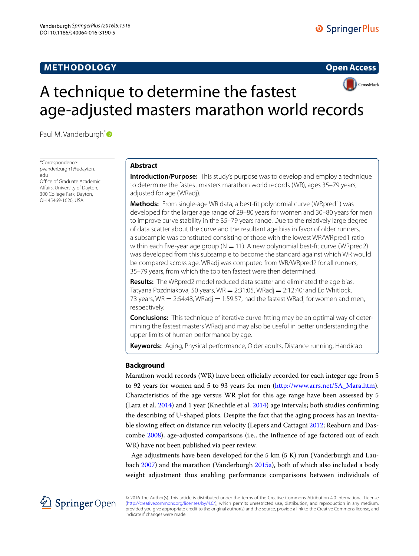# **METHODOLOGY**

# **Open Access**



# A technique to determine the fastest age‑adjusted masters marathon world records

Paul M. Vanderburgh<sup>[\\*](http://orcid.org/0000-0002-1578-1140)</sup>

\*Correspondence: pvanderburgh1@udayton. edu Office of Graduate Academic Affairs, University of Dayton, 300 College Park, Dayton, OH 45469-1620, USA

# **Abstract**

**Introduction/Purpose:** This study's purpose was to develop and employ a technique to determine the fastest masters marathon world records (WR), ages 35–79 years, adjusted for age (WRadj).

**Methods:** From single-age WR data, a best-fit polynomial curve (WRpred1) was developed for the larger age range of 29–80 years for women and 30–80 years for men to improve curve stability in the 35–79 years range. Due to the relatively large degree of data scatter about the curve and the resultant age bias in favor of older runners, a subsample was constituted consisting of those with the lowest WR/WRpred1 ratio within each five-year age group ( $N = 11$ ). A new polynomial best-fit curve (WRpred2) was developed from this subsample to become the standard against which WR would be compared across age. WRadj was computed from WR/WRpred2 for all runners, 35–79 years, from which the top ten fastest were then determined.

**Results:** The WRpred2 model reduced data scatter and eliminated the age bias. Tatyana Pozdniakova, 50 years, WR =  $2:31:05$ , WRadj =  $2:12:40$ ; and Ed Whitlock, 73 years, WR  $= 2:54:48$ , WRadj  $= 1:59:57$ , had the fastest WRadj for women and men, respectively.

**Conclusions:** This technique of iterative curve-fitting may be an optimal way of determining the fastest masters WRadj and may also be useful in better understanding the upper limits of human performance by age.

**Keywords:** Aging, Physical performance, Older adults, Distance running, Handicap

## **Background**

Marathon world records (WR) have been officially recorded for each integer age from 5 to 92 years for women and 5 to 93 years for men ([http://www.arrs.net/SA\\_Mara.htm](http://www.arrs.net/SA_Mara.htm)). Characteristics of the age versus WR plot for this age range have been assessed by 5 (Lara et al. [2014](#page-8-0)) and 1 year (Knechtle et al. [2014\)](#page-8-1) age intervals; both studies confirming the describing of U-shaped plots. Despite the fact that the aging process has an inevitable slowing effect on distance run velocity (Lepers and Cattagni [2012;](#page-8-2) Reaburn and Dascombe [2008](#page-8-3)), age-adjusted comparisons (i.e., the influence of age factored out of each WR) have not been published via peer review.

Age adjustments have been developed for the 5 km (5 K) run (Vanderburgh and Laubach [2007](#page-8-4)) and the marathon (Vanderburgh [2015a](#page-8-5)), both of which also included a body weight adjustment thus enabling performance comparisons between individuals of



© 2016 The Author(s). This article is distributed under the terms of the Creative Commons Attribution 4.0 International License [\(http://creativecommons.org/licenses/by/4.0/](http://creativecommons.org/licenses/by/4.0/)), which permits unrestricted use, distribution, and reproduction in any medium, provided you give appropriate credit to the original author(s) and the source, provide a link to the Creative Commons license, and indicate if changes were made.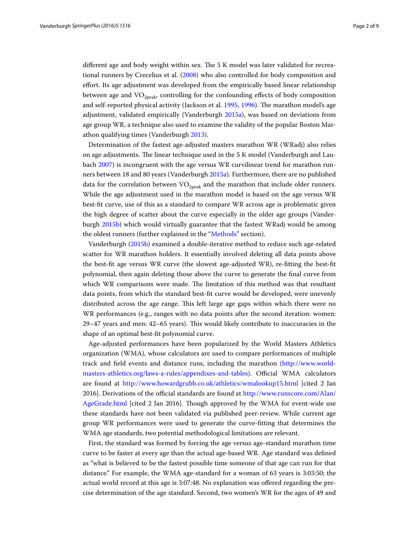different age and body weight within sex. The 5 K model was later validated for recreational runners by Crecelius et al. [\(2008](#page-8-6)) who also controlled for body composition and effort. Its age adjustment was developed from the empirically based linear relationship between age and  $VO_{2peak}$ , controlling for the confounding effects of body composition and self-reported physical activity (Jackson et al. [1995,](#page-8-7) [1996](#page-8-8)). The marathon model's age adjustment, validated empirically (Vanderburgh [2015a\)](#page-8-5), was based on deviations from age group WR, a technique also used to examine the validity of the popular Boston Marathon qualifying times (Vanderburgh [2013\)](#page-8-9).

Determination of the fastest age-adjusted masters marathon WR (WRadj) also relies on age adjustments. The linear technique used in the 5 K model (Vanderburgh and Laubach [2007\)](#page-8-4) is incongruent with the age versus WR curvilinear trend for marathon runners between 18 and 80 years (Vanderburgh [2015a](#page-8-5)). Furthermore, there are no published data for the correlation between  $VO_{2peak}$  and the marathon that include older runners. While the age adjustment used in the marathon model is based on the age versus WR best-fit curve, use of this as a standard to compare WR across age is problematic given the high degree of scatter about the curve especially in the older age groups (Vanderburgh [2015b\)](#page-8-10) which would virtually guarantee that the fastest WRadj would be among the oldest runners (further explained in the "[Methods](#page-2-0)" section).

Vanderburgh ([2015b](#page-8-10)) examined a double-iterative method to reduce such age-related scatter for WR marathon holders. It essentially involved deleting all data points above the best-fit age versus WR curve (the slowest age-adjusted WR), re-fitting the best-fit polynomial, then again deleting those above the curve to generate the final curve from which WR comparisons were made. The limitation of this method was that resultant data points, from which the standard best-fit curve would be developed, were unevenly distributed across the age range. This left large age gaps within which there were no WR performances (e.g., ranges with no data points after the second iteration: women: 29–47 years and men: 42–65 years). This would likely contribute to inaccuracies in the shape of an optimal best-fit polynomial curve.

Age-adjusted performances have been popularized by the World Masters Athletics organization (WMA), whose calculators are used to compare performances of multiple track and field events and distance runs, including the marathon [\(http://www.world](http://www.world-masters-athletics.org/laws-a-rules/appendixes-and-tables)[masters-athletics.org/laws-a-rules/appendixes-and-tables](http://www.world-masters-athletics.org/laws-a-rules/appendixes-and-tables)). Official WMA calculators are found at <http://www.howardgrubb.co.uk/athletics/wmalookup15.html> [cited 2 Jan 2016]. Derivations of the official standards are found at [http://www.runscore.com/Alan/](http://www.runscore.com/Alan/AgeGrade.html) [AgeGrade.html](http://www.runscore.com/Alan/AgeGrade.html) [cited 2 Jan 2016]. Though approved by the WMA for event-wide use these standards have not been validated via published peer-review. While current age group WR performances were used to generate the curve-fitting that determines the WMA age standards, two potential methodological limitations are relevant.

First, the standard was formed by forcing the age versus age-standard marathon time curve to be faster at every age than the actual age-based WR. Age standard was defined as "what is believed to be the fastest possible time someone of that age can run for that distance." For example, the WMA age-standard for a woman of 63 years is 3:03:50; the actual world record at this age is 3:07:48. No explanation was offered regarding the precise determination of the age standard. Second, two women's WR for the ages of 49 and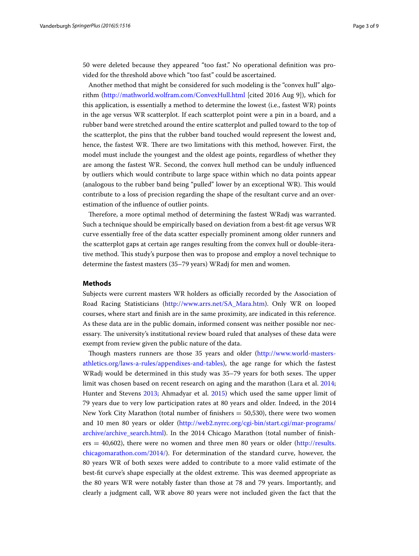50 were deleted because they appeared "too fast." No operational definition was provided for the threshold above which "too fast" could be ascertained.

Another method that might be considered for such modeling is the "convex hull" algorithm [\(http://mathworld.wolfram.com/ConvexHull.html](http://mathworld.wolfram.com/ConvexHull.html) [cited 2016 Aug 9]), which for this application, is essentially a method to determine the lowest (i.e., fastest WR) points in the age versus WR scatterplot. If each scatterplot point were a pin in a board, and a rubber band were stretched around the entire scatterplot and pulled toward to the top of the scatterplot, the pins that the rubber band touched would represent the lowest and, hence, the fastest WR. There are two limitations with this method, however. First, the model must include the youngest and the oldest age points, regardless of whether they are among the fastest WR. Second, the convex hull method can be unduly influenced by outliers which would contribute to large space within which no data points appear (analogous to the rubber band being "pulled" lower by an exceptional WR). This would contribute to a loss of precision regarding the shape of the resultant curve and an overestimation of the influence of outlier points.

Therefore, a more optimal method of determining the fastest WRadj was warranted. Such a technique should be empirically based on deviation from a best-fit age versus WR curve essentially free of the data scatter especially prominent among older runners and the scatterplot gaps at certain age ranges resulting from the convex hull or double-iterative method. This study's purpose then was to propose and employ a novel technique to determine the fastest masters (35–79 years) WRadj for men and women.

### <span id="page-2-0"></span>**Methods**

Subjects were current masters WR holders as officially recorded by the Association of Road Racing Statisticians [\(http://www.arrs.net/SA\\_Mara.htm](http://www.arrs.net/SA_Mara.htm)). Only WR on looped courses, where start and finish are in the same proximity, are indicated in this reference. As these data are in the public domain, informed consent was neither possible nor necessary. The university's institutional review board ruled that analyses of these data were exempt from review given the public nature of the data.

Though masters runners are those 35 years and older ([http://www.world-masters](http://www.world-masters-athletics.org/laws-a-rules/appendixes-and-tables)[athletics.org/laws-a-rules/appendixes-and-tables\)](http://www.world-masters-athletics.org/laws-a-rules/appendixes-and-tables), the age range for which the fastest WRadj would be determined in this study was 35–79 years for both sexes. The upper limit was chosen based on recent research on aging and the marathon (Lara et al. [2014](#page-8-0); Hunter and Stevens [2013;](#page-8-11) Ahmadyar et al. [2015](#page-8-12)) which used the same upper limit of 79 years due to very low participation rates at 80 years and older. Indeed, in the 2014 New York City Marathon (total number of finishers = 50,530), there were two women and 10 men 80 years or older ([http://web2.nyrrc.org/cgi-bin/start.cgi/mar-programs/](http://web2.nyrrc.org/cgi-bin/start.cgi/mar-programs/archive/archive_search.html) [archive/archive\\_search.html](http://web2.nyrrc.org/cgi-bin/start.cgi/mar-programs/archive/archive_search.html)). In the 2014 Chicago Marathon (total number of finish $ers = 40,602$ , there were no women and three men 80 years or older ([http://results.](http://results.chicagomarathon.com/2014/) [chicagomarathon.com/2014/\)](http://results.chicagomarathon.com/2014/). For determination of the standard curve, however, the 80 years WR of both sexes were added to contribute to a more valid estimate of the best-fit curve's shape especially at the oldest extreme. This was deemed appropriate as the 80 years WR were notably faster than those at 78 and 79 years. Importantly, and clearly a judgment call, WR above 80 years were not included given the fact that the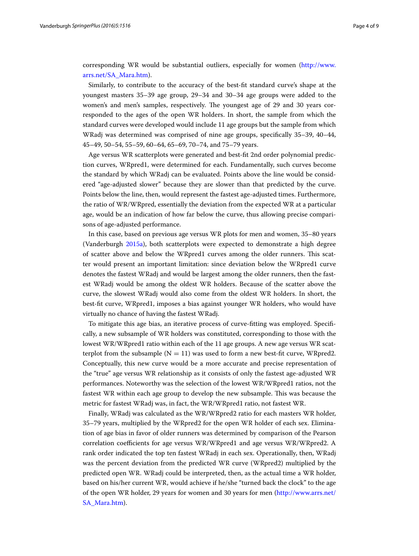corresponding WR would be substantial outliers, especially for women [\(http://www.](http://www.arrs.net/SA_Mara.htm) [arrs.net/SA\\_Mara.htm\)](http://www.arrs.net/SA_Mara.htm).

Similarly, to contribute to the accuracy of the best-fit standard curve's shape at the youngest masters 35–39 age group, 29–34 and 30–34 age groups were added to the women's and men's samples, respectively. The youngest age of 29 and 30 years corresponded to the ages of the open WR holders. In short, the sample from which the standard curves were developed would include 11 age groups but the sample from which WRadj was determined was comprised of nine age groups, specifically 35–39, 40–44, 45–49, 50–54, 55–59, 60–64, 65–69, 70–74, and 75–79 years.

Age versus WR scatterplots were generated and best-fit 2nd order polynomial prediction curves, WRpred1, were determined for each. Fundamentally, such curves become the standard by which WRadj can be evaluated. Points above the line would be considered "age-adjusted slower" because they are slower than that predicted by the curve. Points below the line, then, would represent the fastest age-adjusted times. Furthermore, the ratio of WR/WRpred, essentially the deviation from the expected WR at a particular age, would be an indication of how far below the curve, thus allowing precise comparisons of age-adjusted performance.

In this case, based on previous age versus WR plots for men and women, 35–80 years (Vanderburgh [2015a](#page-8-5)), both scatterplots were expected to demonstrate a high degree of scatter above and below the WRpred1 curves among the older runners. This scatter would present an important limitation: since deviation below the WRpred1 curve denotes the fastest WRadj and would be largest among the older runners, then the fastest WRadj would be among the oldest WR holders. Because of the scatter above the curve, the slowest WRadj would also come from the oldest WR holders. In short, the best-fit curve, WRpred1, imposes a bias against younger WR holders, who would have virtually no chance of having the fastest WRadj.

To mitigate this age bias, an iterative process of curve-fitting was employed. Specifically, a new subsample of WR holders was constituted, corresponding to those with the lowest WR/WRpred1 ratio within each of the 11 age groups. A new age versus WR scatterplot from the subsample  $(N = 11)$  was used to form a new best-fit curve, WRpred2. Conceptually, this new curve would be a more accurate and precise representation of the "true" age versus WR relationship as it consists of only the fastest age-adjusted WR performances. Noteworthy was the selection of the lowest WR/WRpred1 ratios, not the fastest WR within each age group to develop the new subsample. This was because the metric for fastest WRadj was, in fact, the WR/WRpred1 ratio, not fastest WR.

Finally, WRadj was calculated as the WR/WRpred2 ratio for each masters WR holder, 35–79 years, multiplied by the WRpred2 for the open WR holder of each sex. Elimination of age bias in favor of older runners was determined by comparison of the Pearson correlation coefficients for age versus WR/WRpred1 and age versus WR/WRpred2. A rank order indicated the top ten fastest WRadj in each sex. Operationally, then, WRadj was the percent deviation from the predicted WR curve (WRpred2) multiplied by the predicted open WR. WRadj could be interpreted, then, as the actual time a WR holder, based on his/her current WR, would achieve if he/she "turned back the clock" to the age of the open WR holder, 29 years for women and 30 years for men [\(http://www.arrs.net/](http://www.arrs.net/SA_Mara.htm) [SA\\_Mara.htm](http://www.arrs.net/SA_Mara.htm)).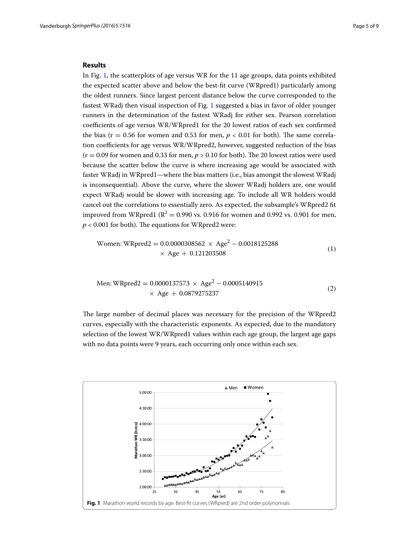## **Results**

In Fig. [1,](#page-4-0) the scatterplots of age versus WR for the 11 age groups, data points exhibited the expected scatter above and below the best-fit curve (WRpred1) particularly among the oldest runners. Since largest percent distance below the curve corresponded to the fastest WRadj then visual inspection of Fig. [1](#page-4-0) suggested a bias in favor of older younger runners in the determination of the fastest WRadj for either sex. Pearson correlation coefficients of age versus WR/WRpred1 for the 20 lowest ratios of each sex confirmed the bias ( $r = 0.56$  for women and 0.53 for men,  $p < 0.01$  for both). The same correlation coefficients for age versus WR/WRpred2, however, suggested reduction of the bias  $(r = 0.09$  for women and 0.33 for men,  $p > 0.10$  for both). The 20 lowest ratios were used because the scatter below the curve is where increasing age would be associated with faster WRadj in WRpred1—where the bias matters (i.e., bias amongst the slowest WRadj is inconsequential). Above the curve, where the slower WRadj holders are, one would expect WRadj would be slower with increasing age. To include all WR holders would cancel out the correlations to essentially zero. As expected, the subsample's WRpred2 fit improved from WRpred1 ( $R^2 = 0.990$  vs. 0.916 for women and 0.992 vs. 0.901 for men,  $p < 0.001$  for both). The equations for WRpred2 were:

<span id="page-4-1"></span>Women: WRpred2 = 
$$
0.0000308562 \times \text{Age}^2 - 0.0018125288
$$

\n $\times \text{Age} + 0.121203508$ 

$$
Men: WRpred2 = 0.0000137573 \times Age^{2} - 0.0005140915
$$
  
× Age + 0.0879275237 (2)

The large number of decimal places was necessary for the precision of the WRpred2 curves, especially with the characteristic exponents. As expected, due to the mandatory selection of the lowest WR/WRpred1 values within each age group, the largest age gaps with no data points were 9 years, each occurring only once within each sex.

<span id="page-4-0"></span>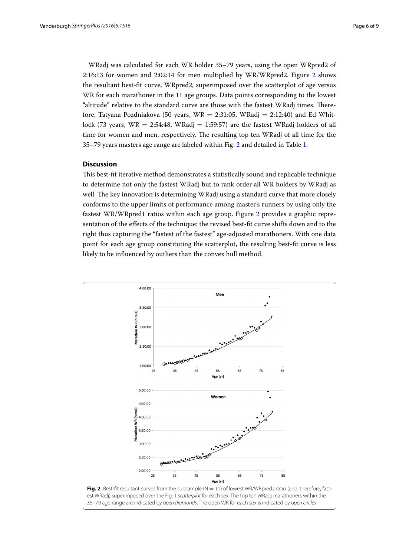WRadj was calculated for each WR holder 35–79 years, using the open WRpred2 of 2:16:13 for women and 2:02:14 for men multiplied by WR/WRpred2. Figure [2](#page-5-0) shows the resultant best-fit curve, WRpred2, superimposed over the scatterplot of age versus WR for each marathoner in the 11 age groups. Data points corresponding to the lowest "altitude" relative to the standard curve are those with the fastest WRadj times. Therefore, Tatyana Pozdniakova (50 years,  $WR = 2:31:05$ , WRadj = 2:12:40) and Ed Whitlock (73 years,  $WR = 2:54:48$ , WRadj = 1:59:57) are the fastest WRadj holders of all time for women and men, respectively. The resulting top ten WRadj of all time for the 35–79 years masters age range are labeled within Fig. [2](#page-5-0) and detailed in Table [1.](#page-6-0)

## **Discussion**

This best-fit iterative method demonstrates a statistically sound and replicable technique to determine not only the fastest WRadj but to rank order all WR holders by WRadj as well. The key innovation is determining WRadj using a standard curve that more closely conforms to the upper limits of performance among master's runners by using only the fastest WR/WRpred1 ratios within each age group. Figure [2](#page-5-0) provides a graphic representation of the effects of the technique: the revised best-fit curve shifts down and to the right thus capturing the "fastest of the fastest" age-adjusted marathoners. With one data point for each age group constituting the scatterplot, the resulting best-fit curve is less likely to be influenced by outliers than the convex hull method.

<span id="page-5-0"></span>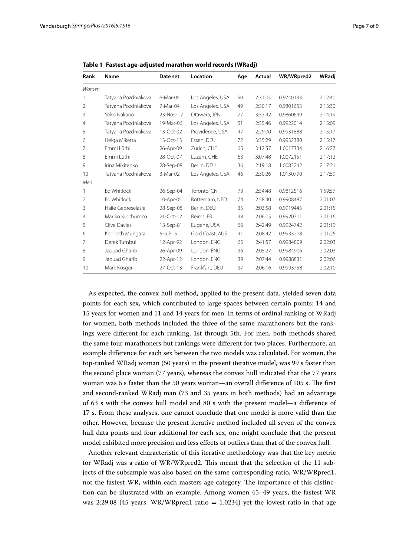| Rank           | Name                | Date set    | Location         | Age | Actual  | WR/WRpred2 | WRadj   |
|----------------|---------------------|-------------|------------------|-----|---------|------------|---------|
| Women          |                     |             |                  |     |         |            |         |
| 1              | Tatyana Pozdniakova | 6-Mar-05    | Los Angeles, USA | 50  | 2:31:05 | 0.9740193  | 2:12:40 |
| 2              | Tatyana Pozdniakova | 7-Mar-04    | Los Angeles, USA | 49  | 2:30:17 | 0.9801653  | 2:13:30 |
| 3              | Yoko Nakano         | 23-Nov-12   | Otawara, JPN     | 77  | 3:53:42 | 0.9860649  | 2:14:19 |
| $\overline{4}$ | Tatyana Pozdniakova | 19-Mar-06   | Los Angeles, USA | 51  | 2:35:46 | 0.9922014  | 2:15:09 |
| 5              | Tatyana Pozdniakova | 13-Oct-02   | Providence, USA  | 47  | 2:29:00 | 0.9931888  | 2:15:17 |
| 6              | Helga Miketta       | 13-Oct-13   | Essen, DEU       | 72  | 3:35:29 | 0.9932380  | 2:15:17 |
| 7              | Emmi Lüthi          | 26-Apr-09   | Zurich, CHE      | 65  | 3:12:57 | 1.0017334  | 2:16:27 |
| 8              | Emmi Lüthi          | 28-Oct-07   | Luzern, CHE      | 63  | 3:07:48 | 1.0072151  | 2:17:12 |
| 9              | Irina Mikitenko     | 28-Sep-08   | Berlin, DEU      | 36  | 2:19:18 | 1.0083242  | 2:17:21 |
| 10             | Tatyana Pozdniakova | $3-Mar-02$  | Los Angeles, USA | 46  | 2:30:26 | 1.0130790  | 2:17:59 |
| Men            |                     |             |                  |     |         |            |         |
| 1              | Ed Whitlock         | 26-Sep-04   | Toronto, CN      | 73  | 2:54:48 | 0.9812516  | 1:59:57 |
| $\overline{2}$ | Ed Whitlock         | 10-Apr-05   | Rotterdam, NED   | 74  | 2:58:40 | 0.9908487  | 2:01:07 |
| 3              | Haile Gebreselasie  | 28-Sep-08   | Berlin, DEU      | 35  | 2:03:58 | 0.9919445  | 2:01:15 |
| $\overline{4}$ | Mariko Kipchumba    | 21-Oct-12   | Reims, FR        | 38  | 2:06:05 | 0.9920711  | 2:01:16 |
| 5              | Clive Davies        | 13-Sep-81   | Eugene, USA      | 66  | 2:42:49 | 0.9924742  | 2:01:19 |
| 6              | Kenneth Mungara     | $5$ -Jul-15 | Gold Coast, AUS  | 41  | 2:08:42 | 0.9933218  | 2:01:25 |
| 7              | Derek Turnbull      | 12-Apr-92   | London, ENG      | 65  | 2:41:57 | 0.9984809  | 2:02:03 |
| 8              | Jaouad Gharib       | 26-Apr-09   | London, ENG      | 36  | 2:05:27 | 0.9984906  | 2:02:03 |
| 9              | Jaouad Gharib       | 22-Apr-12   | London, ENG      | 39  | 2:07:44 | 0.9988831  | 2:02:06 |
| 10             | Mark Kosgei         | 27-Oct-13   | Frankfurt, DEU   | 37  | 2:06:16 | 0.9993758  | 2:02:10 |

<span id="page-6-0"></span>**Table 1 Fastest age-adjusted marathon world records (WRadj)**

As expected, the convex hull method, applied to the present data, yielded seven data points for each sex, which contributed to large spaces between certain points: 14 and 15 years for women and 11 and 14 years for men. In terms of ordinal ranking of WRadj for women, both methods included the three of the same marathoners but the rankings were different for each ranking, 1st through 5th. For men, both methods shared the same four marathoners but rankings were different for two places. Furthermore, an example difference for each sex between the two models was calculated. For women, the top-ranked WRadj woman (50 years) in the present iterative model, was 99 s faster than the second place woman (77 years), whereas the convex hull indicated that the 77 years woman was 6 s faster than the 50 years woman—an overall difference of 105 s. The first and second-ranked WRadj man (73 and 35 years in both methods) had an advantage of 63 s with the convex hull model and 80 s with the present model—a difference of 17 s. From these analyses, one cannot conclude that one model is more valid than the other. However, because the present iterative method included all seven of the convex hull data points and four additional for each sex, one might conclude that the present model exhibited more precision and less effects of outliers than that of the convex hull.

Another relevant characteristic of this iterative methodology was that the key metric for WRadj was a ratio of WR/WRpred2. This meant that the selection of the 11 subjects of the subsample was also based on the same corresponding ratio, WR/WRpred1, not the fastest WR, within each masters age category. The importance of this distinction can be illustrated with an example. Among women 45–49 years, the fastest WR was 2:29:08 (45 years, WR/WRpred1 ratio  $= 1.0234$ ) yet the lowest ratio in that age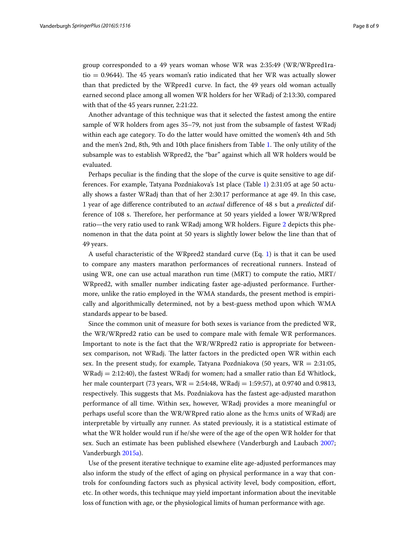group corresponded to a 49 years woman whose WR was 2:35:49 (WR/WRpred1ra $t$  tio  $= 0.9644$ ). The 45 years woman's ratio indicated that her WR was actually slower than that predicted by the WRpred1 curve. In fact, the 49 years old woman actually earned second place among all women WR holders for her WRadj of 2:13:30, compared with that of the 45 years runner, 2:21:22.

Another advantage of this technique was that it selected the fastest among the entire sample of WR holders from ages 35–79, not just from the subsample of fastest WRadj within each age category. To do the latter would have omitted the women's 4th and 5th and the men's 2nd, 8th, 9th and 10th place finishers from Table [1](#page-6-0). The only utility of the subsample was to establish WRpred2, the "bar" against which all WR holders would be evaluated.

Perhaps peculiar is the finding that the slope of the curve is quite sensitive to age differences. For example, Tatyana Pozdniakova's 1st place (Table [1](#page-6-0)) 2:31:05 at age 50 actually shows a faster WRadj than that of her 2:30:17 performance at age 49. In this case, 1 year of age difference contributed to an *actual* difference of 48 s but a *predicted* difference of 108 s. Therefore, her performance at 50 years yielded a lower WR/WRpred ratio—the very ratio used to rank WRadj among WR holders. Figure [2](#page-5-0) depicts this phenomenon in that the data point at 50 years is slightly lower below the line than that of 49 years.

A useful characteristic of the WRpred2 standard curve (Eq. [1\)](#page-4-1) is that it can be used to compare any masters marathon performances of recreational runners. Instead of using WR, one can use actual marathon run time (MRT) to compute the ratio, MRT/ WRpred2, with smaller number indicating faster age-adjusted performance. Furthermore, unlike the ratio employed in the WMA standards, the present method is empirically and algorithmically determined, not by a best-guess method upon which WMA standards appear to be based.

Since the common unit of measure for both sexes is variance from the predicted WR, the WR/WRpred2 ratio can be used to compare male with female WR performances. Important to note is the fact that the WR/WRpred2 ratio is appropriate for betweensex comparison, not WRadj. The latter factors in the predicted open WR within each sex. In the present study, for example, Tatyana Pozdniakova (50 years,  $WR = 2:31:05$ , WRadj  $= 2:12:40$ , the fastest WRadj for women; had a smaller ratio than Ed Whitlock, her male counterpart (73 years, WR = 2:54:48, WRadj = 1:59:57), at 0.9740 and 0.9813, respectively. This suggests that Ms. Pozdniakova has the fastest age-adjusted marathon performance of all time. Within sex, however, WRadj provides a more meaningful or perhaps useful score than the WR/WRpred ratio alone as the h:m:s units of WRadj are interpretable by virtually any runner. As stated previously, it is a statistical estimate of what the WR holder would run if he/she were of the age of the open WR holder for that sex. Such an estimate has been published elsewhere (Vanderburgh and Laubach [2007](#page-8-4); Vanderburgh [2015a\)](#page-8-5).

Use of the present iterative technique to examine elite age-adjusted performances may also inform the study of the effect of aging on physical performance in a way that controls for confounding factors such as physical activity level, body composition, effort, etc. In other words, this technique may yield important information about the inevitable loss of function with age, or the physiological limits of human performance with age.